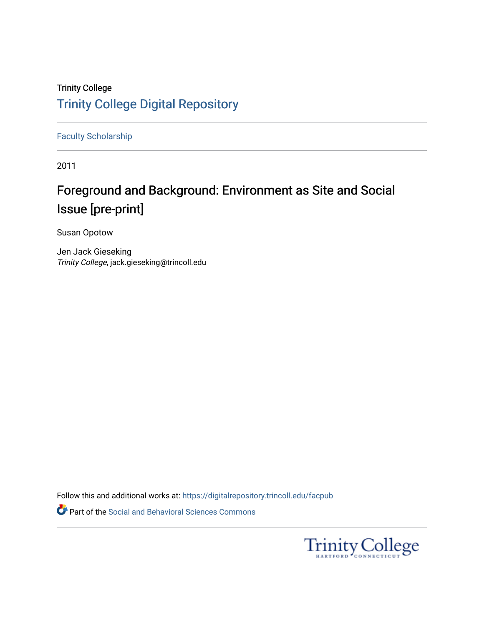# Trinity College [Trinity College Digital Repository](https://digitalrepository.trincoll.edu/)

[Faculty Scholarship](https://digitalrepository.trincoll.edu/facpub)

2011

# Foreground and Background: Environment as Site and Social Issue [pre-print]

Susan Opotow

Jen Jack Gieseking Trinity College, jack.gieseking@trincoll.edu

Follow this and additional works at: [https://digitalrepository.trincoll.edu/facpub](https://digitalrepository.trincoll.edu/facpub?utm_source=digitalrepository.trincoll.edu%2Ffacpub%2F153&utm_medium=PDF&utm_campaign=PDFCoverPages) 

Part of the [Social and Behavioral Sciences Commons](http://network.bepress.com/hgg/discipline/316?utm_source=digitalrepository.trincoll.edu%2Ffacpub%2F153&utm_medium=PDF&utm_campaign=PDFCoverPages) 

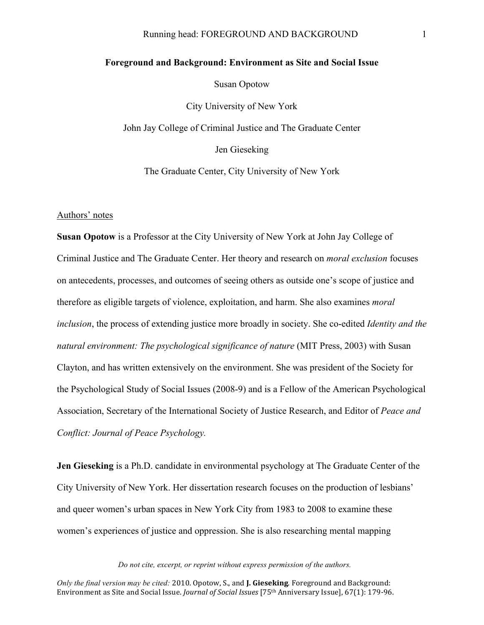# Running head: FOREGROUND AND BACKGROUND 1

# **Foreground and Background: Environment as Site and Social Issue** Susan Opotow City University of New York John Jay College of Criminal Justice and The Graduate Center Jen Gieseking

The Graduate Center, City University of New York

#### Authors' notes

**Susan Opotow** is a Professor at the City University of New York at John Jay College of Criminal Justice and The Graduate Center. Her theory and research on *moral exclusion* focuses on antecedents, processes, and outcomes of seeing others as outside one's scope of justice and therefore as eligible targets of violence, exploitation, and harm. She also examines *moral inclusion*, the process of extending justice more broadly in society. She co-edited *Identity and the natural environment: The psychological significance of nature* (MIT Press, 2003) with Susan Clayton, and has written extensively on the environment. She was president of the Society for the Psychological Study of Social Issues (2008-9) and is a Fellow of the American Psychological Association, Secretary of the International Society of Justice Research, and Editor of *Peace and Conflict: Journal of Peace Psychology.* 

**Jen Gieseking** is a Ph.D. candidate in environmental psychology at The Graduate Center of the City University of New York. Her dissertation research focuses on the production of lesbians' and queer women's urban spaces in New York City from 1983 to 2008 to examine these women's experiences of justice and oppression. She is also researching mental mapping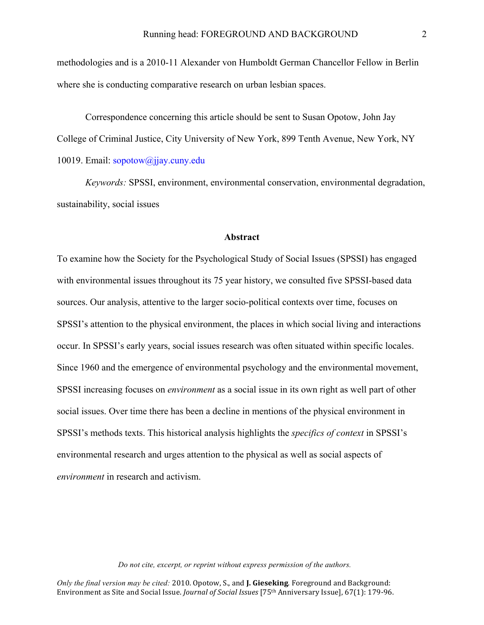methodologies and is a 2010-11 Alexander von Humboldt German Chancellor Fellow in Berlin where she is conducting comparative research on urban lesbian spaces.

Correspondence concerning this article should be sent to Susan Opotow, John Jay College of Criminal Justice, City University of New York, 899 Tenth Avenue, New York, NY 10019. Email: sopotow@jjay.cuny.edu

*Keywords:* SPSSI, environment, environmental conservation, environmental degradation, sustainability, social issues

# **Abstract**

To examine how the Society for the Psychological Study of Social Issues (SPSSI) has engaged with environmental issues throughout its 75 year history, we consulted five SPSSI-based data sources. Our analysis, attentive to the larger socio-political contexts over time, focuses on SPSSI's attention to the physical environment, the places in which social living and interactions occur. In SPSSI's early years, social issues research was often situated within specific locales. Since 1960 and the emergence of environmental psychology and the environmental movement, SPSSI increasing focuses on *environment* as a social issue in its own right as well part of other social issues. Over time there has been a decline in mentions of the physical environment in SPSSI's methods texts. This historical analysis highlights the *specifics of context* in SPSSI's environmental research and urges attention to the physical as well as social aspects of *environment* in research and activism.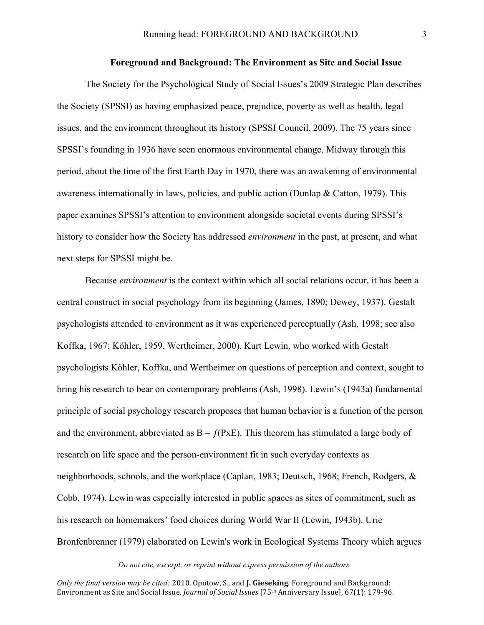## **Foreground and Background: The Environment as Site and Social Issue**

The Society for the Psychological Study of Social Issues's 2009 Strategic Plan describes the Society (SPSSI) as having emphasized peace, prejudice, poverty as well as health, legal issues, and the environment throughout its history (SPSSI Council, 2009). The 75 years since SPSSI's founding in 1936 have seen enormous environmental change. Midway through this period, about the time of the first Earth Day in 1970, there was an awakening of environmental awareness internationally in laws, policies, and public action (Dunlap & Catton, 1979). This paper examines SPSSI's attention to environment alongside societal events during SPSSI's history to consider how the Society has addressed *environment* in the past, at present, and what next steps for SPSSI might be.

Because *environment* is the context within which all social relations occur, it has been a central construct in social psychology from its beginning (James, 1890; Dewey, 1937). Gestalt psychologists attended to environment as it was experienced perceptually (Ash, 1998; see also Koffka, 1967; Köhler, 1959, Wertheimer, 2000). Kurt Lewin, who worked with Gestalt psychologists Köhler, Koffka, and Wertheimer on questions of perception and context, sought to bring his research to bear on contemporary problems (Ash, 1998). Lewin's (1943a) fundamental principle of social psychology research proposes that human behavior is a function of the person and the environment, abbreviated as  $B = f(PxE)$ . This theorem has stimulated a large body of research on life space and the person-environment fit in such everyday contexts as neighborhoods, schools, and the workplace (Caplan, 1983; Deutsch, 1968; French, Rodgers, & Cobb, 1974). Lewin was especially interested in public spaces as sites of commitment, such as his research on homemakers' food choices during World War II (Lewin, 1943b). Urie Bronfenbrenner (1979) elaborated on Lewin's work in Ecological Systems Theory which argues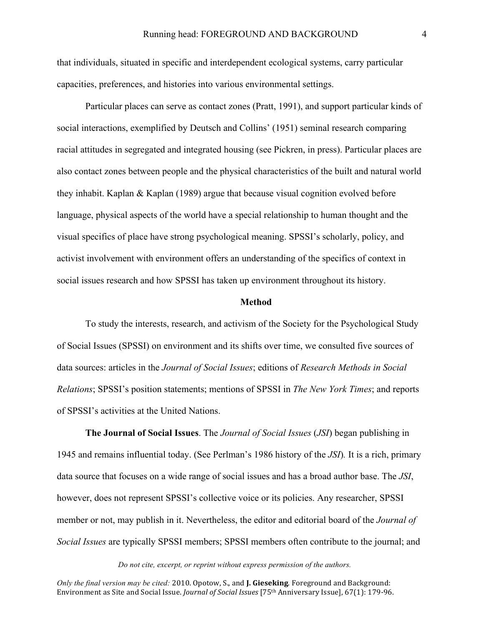that individuals, situated in specific and interdependent ecological systems, carry particular capacities, preferences, and histories into various environmental settings.

Particular places can serve as contact zones (Pratt, 1991), and support particular kinds of social interactions, exemplified by Deutsch and Collins' (1951) seminal research comparing racial attitudes in segregated and integrated housing (see Pickren, in press). Particular places are also contact zones between people and the physical characteristics of the built and natural world they inhabit. Kaplan & Kaplan (1989) argue that because visual cognition evolved before language, physical aspects of the world have a special relationship to human thought and the visual specifics of place have strong psychological meaning. SPSSI's scholarly, policy, and activist involvement with environment offers an understanding of the specifics of context in social issues research and how SPSSI has taken up environment throughout its history.

#### **Method**

To study the interests, research, and activism of the Society for the Psychological Study of Social Issues (SPSSI) on environment and its shifts over time, we consulted five sources of data sources: articles in the *Journal of Social Issues*; editions of *Research Methods in Social Relations*; SPSSI's position statements; mentions of SPSSI in *The New York Times*; and reports of SPSSI's activities at the United Nations.

**The Journal of Social Issues**. The *Journal of Social Issues* (*JSI*) began publishing in 1945 and remains influential today. (See Perlman's 1986 history of the *JSI*)*.* It is a rich, primary data source that focuses on a wide range of social issues and has a broad author base. The *JSI*, however, does not represent SPSSI's collective voice or its policies. Any researcher, SPSSI member or not, may publish in it. Nevertheless, the editor and editorial board of the *Journal of Social Issues* are typically SPSSI members; SPSSI members often contribute to the journal; and

#### *Do not cite, excerpt, or reprint without express permission of the authors.*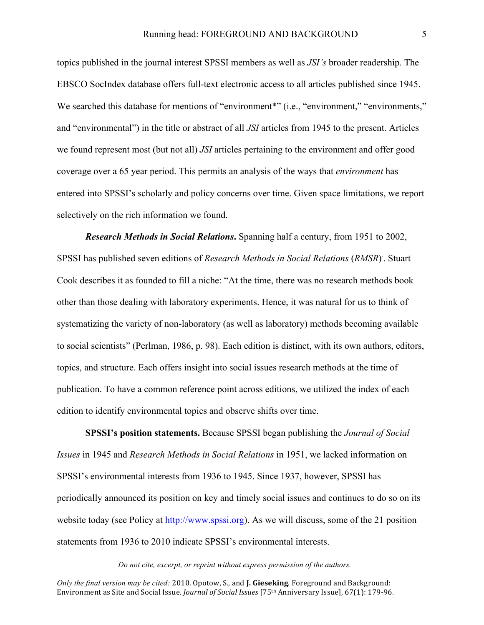topics published in the journal interest SPSSI members as well as *JSI's* broader readership. The EBSCO SocIndex database offers full-text electronic access to all articles published since 1945. We searched this database for mentions of "environment<sup>\*"</sup> (i.e., "environment," "environments," and "environmental") in the title or abstract of all *JSI* articles from 1945 to the present. Articles we found represent most (but not all) *JSI* articles pertaining to the environment and offer good coverage over a 65 year period. This permits an analysis of the ways that *environment* has entered into SPSSI's scholarly and policy concerns over time. Given space limitations, we report selectively on the rich information we found.

*Research Methods in Social Relations***.** Spanning half a century, from 1951 to 2002, SPSSI has published seven editions of *Research Methods in Social Relations* (*RMSR*) . . Stuart Cook describes it as founded to fill a niche: "At the time, there was no research methods book other than those dealing with laboratory experiments. Hence, it was natural for us to think of systematizing the variety of non-laboratory (as well as laboratory) methods becoming available to social scientists" (Perlman, 1986, p. 98). Each edition is distinct, with its own authors, editors, topics, and structure. Each offers insight into social issues research methods at the time of publication. To have a common reference point across editions, we utilized the index of each edition to identify environmental topics and observe shifts over time.

**SPSSI's position statements.** Because SPSSI began publishing the *Journal of Social Issues* in 1945 and *Research Methods in Social Relations* in 1951, we lacked information on SPSSI's environmental interests from 1936 to 1945. Since 1937, however, SPSSI has periodically announced its position on key and timely social issues and continues to do so on its website today (see Policy at http://www.spssi.org). As we will discuss, some of the 21 position statements from 1936 to 2010 indicate SPSSI's environmental interests.

#### *Do not cite, excerpt, or reprint without express permission of the authors.*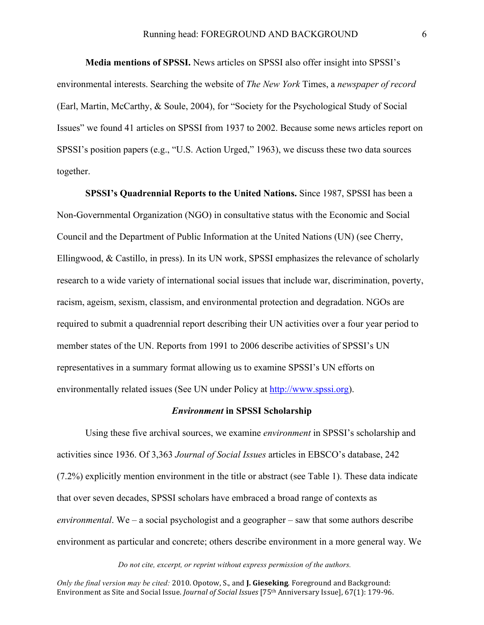**Media mentions of SPSSI.** News articles on SPSSI also offer insight into SPSSI's environmental interests. Searching the website of *The New York* Times, a *newspaper of record* (Earl, Martin, McCarthy, & Soule, 2004), for "Society for the Psychological Study of Social Issues" we found 41 articles on SPSSI from 1937 to 2002. Because some news articles report on SPSSI's position papers (e.g., "U.S. Action Urged," 1963), we discuss these two data sources together.

**SPSSI's Quadrennial Reports to the United Nations.** Since 1987, SPSSI has been a Non-Governmental Organization (NGO) in consultative status with the Economic and Social Council and the Department of Public Information at the United Nations (UN) (see Cherry, Ellingwood, & Castillo, in press). In its UN work, SPSSI emphasizes the relevance of scholarly research to a wide variety of international social issues that include war, discrimination, poverty, racism, ageism, sexism, classism, and environmental protection and degradation. NGOs are required to submit a quadrennial report describing their UN activities over a four year period to member states of the UN. Reports from 1991 to 2006 describe activities of SPSSI's UN representatives in a summary format allowing us to examine SPSSI's UN efforts on environmentally related issues (See UN under Policy at http://www.spssi.org).

#### *Environment* **in SPSSI Scholarship**

Using these five archival sources, we examine *environment* in SPSSI's scholarship and activities since 1936. Of 3,363 *Journal of Social Issues* articles in EBSCO's database, 242 (7.2%) explicitly mention environment in the title or abstract (see Table 1). These data indicate that over seven decades, SPSSI scholars have embraced a broad range of contexts as *environmental*. We – a social psychologist and a geographer – saw that some authors describe environment as particular and concrete; others describe environment in a more general way. We

#### *Do not cite, excerpt, or reprint without express permission of the authors.*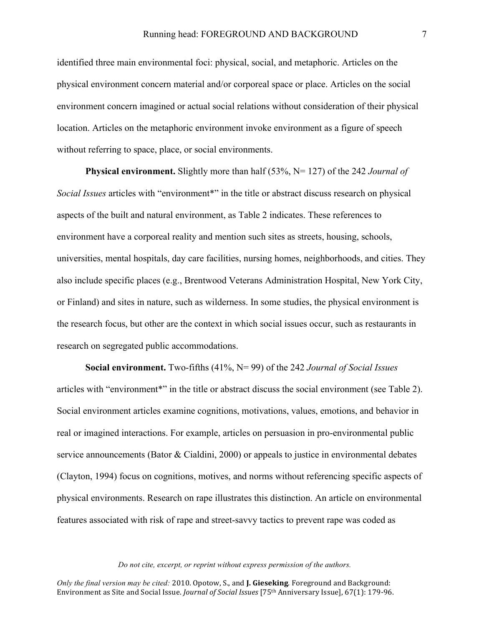identified three main environmental foci: physical, social, and metaphoric. Articles on the physical environment concern material and/or corporeal space or place. Articles on the social environment concern imagined or actual social relations without consideration of their physical location. Articles on the metaphoric environment invoke environment as a figure of speech without referring to space, place, or social environments.

**Physical environment.** Slightly more than half (53%, N= 127) of the 242 *Journal of Social Issues* articles with "environment\*" in the title or abstract discuss research on physical aspects of the built and natural environment, as Table 2 indicates. These references to environment have a corporeal reality and mention such sites as streets, housing, schools, universities, mental hospitals, day care facilities, nursing homes, neighborhoods, and cities. They also include specific places (e.g., Brentwood Veterans Administration Hospital, New York City, or Finland) and sites in nature, such as wilderness. In some studies, the physical environment is the research focus, but other are the context in which social issues occur, such as restaurants in research on segregated public accommodations.

**Social environment.** Two-fifths (41%, N= 99) of the 242 *Journal of Social Issues* articles with "environment\*" in the title or abstract discuss the social environment (see Table 2). Social environment articles examine cognitions, motivations, values, emotions, and behavior in real or imagined interactions. For example, articles on persuasion in pro-environmental public service announcements (Bator & Cialdini, 2000) or appeals to justice in environmental debates (Clayton, 1994) focus on cognitions, motives, and norms without referencing specific aspects of physical environments. Research on rape illustrates this distinction. An article on environmental features associated with risk of rape and street-savvy tactics to prevent rape was coded as

*Do not cite, excerpt, or reprint without express permission of the authors.*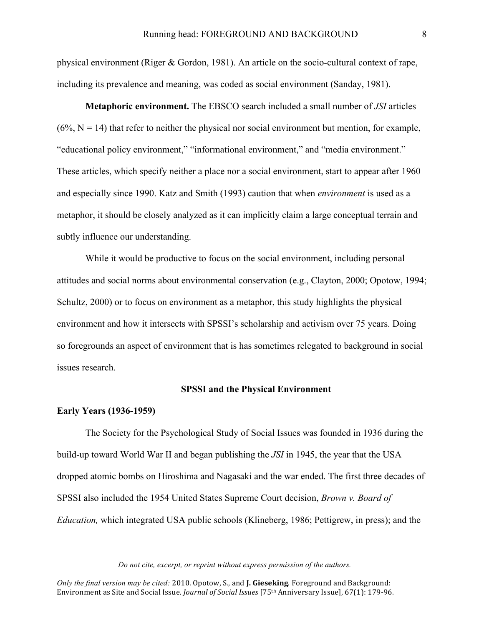physical environment (Riger & Gordon, 1981). An article on the socio-cultural context of rape, including its prevalence and meaning, was coded as social environment (Sanday, 1981).

**Metaphoric environment.** The EBSCO search included a small number of *JSI* articles  $(6\%, N = 14)$  that refer to neither the physical nor social environment but mention, for example, "educational policy environment," "informational environment," and "media environment." These articles, which specify neither a place nor a social environment, start to appear after 1960 and especially since 1990. Katz and Smith (1993) caution that when *environment* is used as a metaphor, it should be closely analyzed as it can implicitly claim a large conceptual terrain and subtly influence our understanding.

While it would be productive to focus on the social environment, including personal attitudes and social norms about environmental conservation (e.g., Clayton, 2000; Opotow, 1994; Schultz, 2000) or to focus on environment as a metaphor, this study highlights the physical environment and how it intersects with SPSSI's scholarship and activism over 75 years. Doing so foregrounds an aspect of environment that is has sometimes relegated to background in social issues research.

#### **SPSSI and the Physical Environment**

### **Early Years (1936-1959)**

The Society for the Psychological Study of Social Issues was founded in 1936 during the build-up toward World War II and began publishing the *JSI* in 1945, the year that the USA dropped atomic bombs on Hiroshima and Nagasaki and the war ended. The first three decades of SPSSI also included the 1954 United States Supreme Court decision, *Brown v. Board of Education,* which integrated USA public schools (Klineberg, 1986; Pettigrew, in press); and the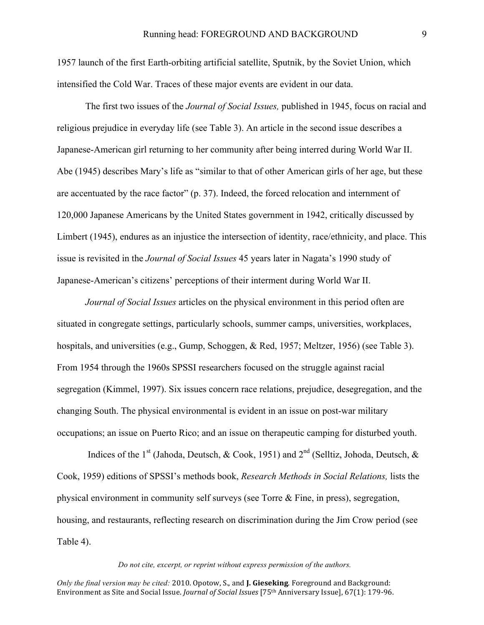1957 launch of the first Earth-orbiting artificial satellite, Sputnik, by the Soviet Union, which intensified the Cold War. Traces of these major events are evident in our data.

The first two issues of the *Journal of Social Issues,* published in 1945, focus on racial and religious prejudice in everyday life (see Table 3). An article in the second issue describes a Japanese-American girl returning to her community after being interred during World War II. Abe (1945) describes Mary's life as "similar to that of other American girls of her age, but these are accentuated by the race factor" (p. 37). Indeed, the forced relocation and internment of 120,000 Japanese Americans by the United States government in 1942, critically discussed by Limbert (1945), endures as an injustice the intersection of identity, race/ethnicity, and place. This issue is revisited in the *Journal of Social Issues* 45 years later in Nagata's 1990 study of Japanese-American's citizens' perceptions of their interment during World War II.

*Journal of Social Issues* articles on the physical environment in this period often are situated in congregate settings, particularly schools, summer camps, universities, workplaces, hospitals, and universities (e.g., Gump, Schoggen, & Red, 1957; Meltzer, 1956) (see Table 3). From 1954 through the 1960s SPSSI researchers focused on the struggle against racial segregation (Kimmel, 1997). Six issues concern race relations, prejudice, desegregation, and the changing South. The physical environmental is evident in an issue on post-war military occupations; an issue on Puerto Rico; and an issue on therapeutic camping for disturbed youth.

Indices of the 1<sup>st</sup> (Jahoda, Deutsch, & Cook, 1951) and  $2<sup>nd</sup>$  (Selltiz, Johoda, Deutsch, & Cook, 1959) editions of SPSSI's methods book, *Research Methods in Social Relations,* lists the physical environment in community self surveys (see Torre & Fine, in press), segregation, housing, and restaurants, reflecting research on discrimination during the Jim Crow period (see Table 4).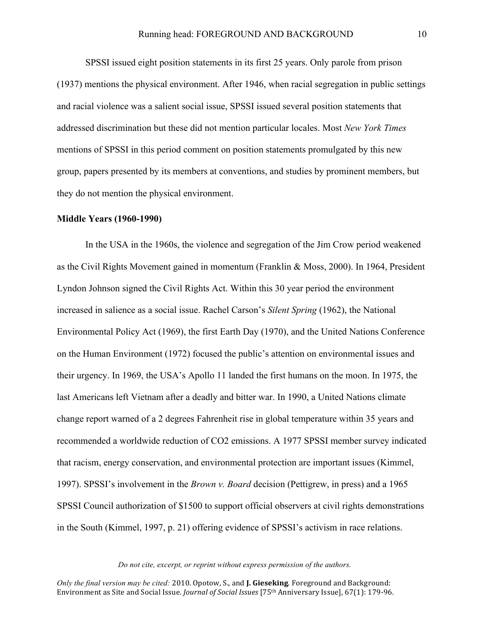SPSSI issued eight position statements in its first 25 years. Only parole from prison (1937) mentions the physical environment. After 1946, when racial segregation in public settings and racial violence was a salient social issue, SPSSI issued several position statements that addressed discrimination but these did not mention particular locales. Most *New York Times* mentions of SPSSI in this period comment on position statements promulgated by this new group, papers presented by its members at conventions, and studies by prominent members, but they do not mention the physical environment.

## **Middle Years (1960-1990)**

In the USA in the 1960s, the violence and segregation of the Jim Crow period weakened as the Civil Rights Movement gained in momentum (Franklin & Moss, 2000). In 1964, President Lyndon Johnson signed the Civil Rights Act. Within this 30 year period the environment increased in salience as a social issue. Rachel Carson's *Silent Spring* (1962), the National Environmental Policy Act (1969), the first Earth Day (1970), and the United Nations Conference on the Human Environment (1972) focused the public's attention on environmental issues and their urgency. In 1969, the USA's Apollo 11 landed the first humans on the moon. In 1975, the last Americans left Vietnam after a deadly and bitter war. In 1990, a United Nations climate change report warned of a 2 degrees Fahrenheit rise in global temperature within 35 years and recommended a worldwide reduction of CO2 emissions. A 1977 SPSSI member survey indicated that racism, energy conservation, and environmental protection are important issues (Kimmel, 1997). SPSSI's involvement in the *Brown v. Board* decision (Pettigrew, in press) and a 1965 SPSSI Council authorization of \$1500 to support official observers at civil rights demonstrations in the South (Kimmel, 1997, p. 21) offering evidence of SPSSI's activism in race relations.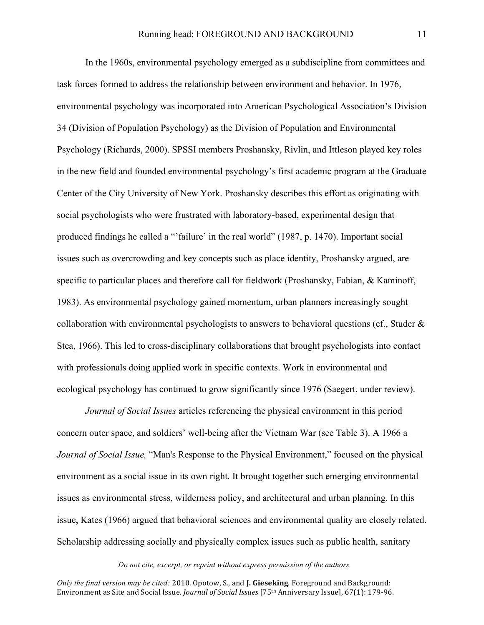In the 1960s, environmental psychology emerged as a subdiscipline from committees and task forces formed to address the relationship between environment and behavior. In 1976, environmental psychology was incorporated into American Psychological Association's Division 34 (Division of Population Psychology) as the Division of Population and Environmental Psychology (Richards, 2000). SPSSI members Proshansky, Rivlin, and Ittleson played key roles in the new field and founded environmental psychology's first academic program at the Graduate Center of the City University of New York. Proshansky describes this effort as originating with social psychologists who were frustrated with laboratory-based, experimental design that produced findings he called a "'failure' in the real world" (1987, p. 1470). Important social issues such as overcrowding and key concepts such as place identity, Proshansky argued, are specific to particular places and therefore call for fieldwork (Proshansky, Fabian, & Kaminoff, 1983). As environmental psychology gained momentum, urban planners increasingly sought collaboration with environmental psychologists to answers to behavioral questions (cf., Studer & Stea, 1966). This led to cross-disciplinary collaborations that brought psychologists into contact with professionals doing applied work in specific contexts. Work in environmental and ecological psychology has continued to grow significantly since 1976 (Saegert, under review).

*Journal of Social Issues* articles referencing the physical environment in this period concern outer space, and soldiers' well-being after the Vietnam War (see Table 3). A 1966 a *Journal of Social Issue,* "Man's Response to the Physical Environment," focused on the physical environment as a social issue in its own right. It brought together such emerging environmental issues as environmental stress, wilderness policy, and architectural and urban planning. In this issue, Kates (1966) argued that behavioral sciences and environmental quality are closely related. Scholarship addressing socially and physically complex issues such as public health, sanitary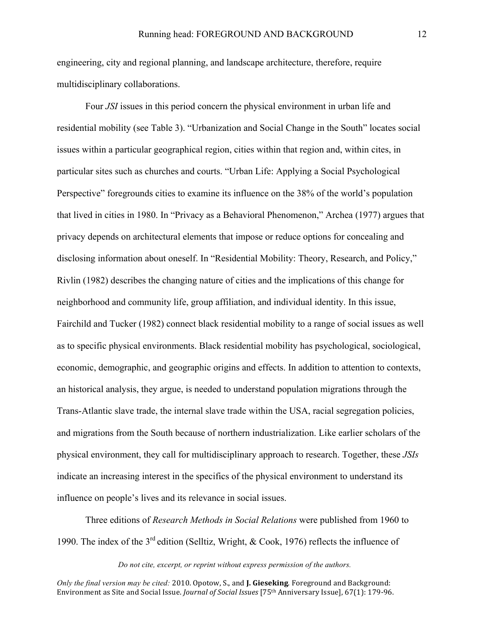engineering, city and regional planning, and landscape architecture, therefore, require multidisciplinary collaborations.

Four *JSI* issues in this period concern the physical environment in urban life and residential mobility (see Table 3). "Urbanization and Social Change in the South" locates social issues within a particular geographical region, cities within that region and, within cites, in particular sites such as churches and courts. "Urban Life: Applying a Social Psychological Perspective" foregrounds cities to examine its influence on the 38% of the world's population that lived in cities in 1980. In "Privacy as a Behavioral Phenomenon," Archea (1977) argues that privacy depends on architectural elements that impose or reduce options for concealing and disclosing information about oneself. In "Residential Mobility: Theory, Research, and Policy," Rivlin (1982) describes the changing nature of cities and the implications of this change for neighborhood and community life, group affiliation, and individual identity. In this issue, Fairchild and Tucker (1982) connect black residential mobility to a range of social issues as well as to specific physical environments. Black residential mobility has psychological, sociological, economic, demographic, and geographic origins and effects. In addition to attention to contexts, an historical analysis, they argue, is needed to understand population migrations through the Trans-Atlantic slave trade, the internal slave trade within the USA, racial segregation policies, and migrations from the South because of northern industrialization. Like earlier scholars of the physical environment, they call for multidisciplinary approach to research. Together, these *JSIs*  indicate an increasing interest in the specifics of the physical environment to understand its influence on people's lives and its relevance in social issues.

Three editions of *Research Methods in Social Relations* were published from 1960 to 1990. The index of the  $3^{rd}$  edition (Selltiz, Wright, & Cook, 1976) reflects the influence of

#### *Do not cite, excerpt, or reprint without express permission of the authors.*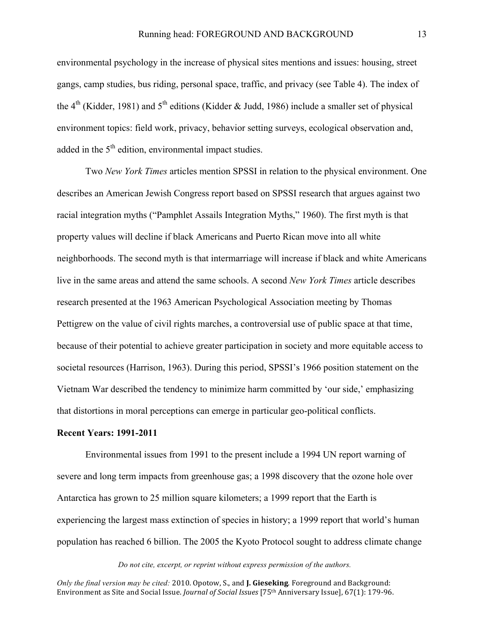environmental psychology in the increase of physical sites mentions and issues: housing, street gangs, camp studies, bus riding, personal space, traffic, and privacy (see Table 4). The index of the 4<sup>th</sup> (Kidder, 1981) and 5<sup>th</sup> editions (Kidder & Judd, 1986) include a smaller set of physical environment topics: field work, privacy, behavior setting surveys, ecological observation and, added in the  $5<sup>th</sup>$  edition, environmental impact studies.

Two *New York Times* articles mention SPSSI in relation to the physical environment. One describes an American Jewish Congress report based on SPSSI research that argues against two racial integration myths ("Pamphlet Assails Integration Myths," 1960). The first myth is that property values will decline if black Americans and Puerto Rican move into all white neighborhoods. The second myth is that intermarriage will increase if black and white Americans live in the same areas and attend the same schools. A second *New York Times* article describes research presented at the 1963 American Psychological Association meeting by Thomas Pettigrew on the value of civil rights marches, a controversial use of public space at that time, because of their potential to achieve greater participation in society and more equitable access to societal resources (Harrison, 1963). During this period, SPSSI's 1966 position statement on the Vietnam War described the tendency to minimize harm committed by 'our side,' emphasizing that distortions in moral perceptions can emerge in particular geo-political conflicts.

#### **Recent Years: 1991-2011**

Environmental issues from 1991 to the present include a 1994 UN report warning of severe and long term impacts from greenhouse gas; a 1998 discovery that the ozone hole over Antarctica has grown to 25 million square kilometers; a 1999 report that the Earth is experiencing the largest mass extinction of species in history; a 1999 report that world's human population has reached 6 billion. The 2005 the Kyoto Protocol sought to address climate change

*Do not cite, excerpt, or reprint without express permission of the authors.*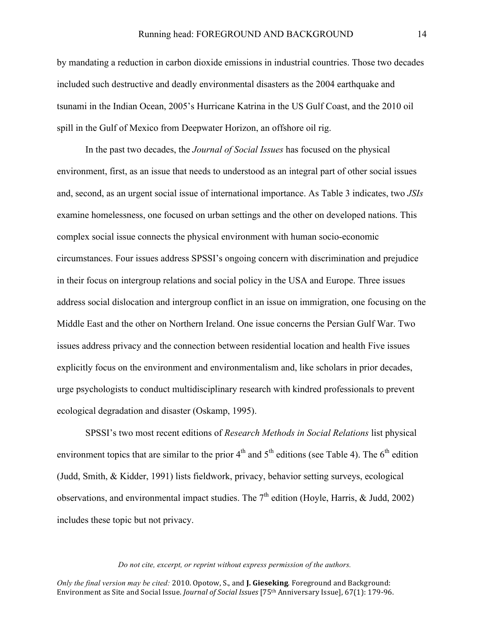by mandating a reduction in carbon dioxide emissions in industrial countries. Those two decades included such destructive and deadly environmental disasters as the 2004 earthquake and tsunami in the Indian Ocean, 2005's Hurricane Katrina in the US Gulf Coast, and the 2010 oil spill in the Gulf of Mexico from Deepwater Horizon, an offshore oil rig.

In the past two decades, the *Journal of Social Issues* has focused on the physical environment, first, as an issue that needs to understood as an integral part of other social issues and, second, as an urgent social issue of international importance. As Table 3 indicates, two *JSIs*  examine homelessness, one focused on urban settings and the other on developed nations. This complex social issue connects the physical environment with human socio-economic circumstances. Four issues address SPSSI's ongoing concern with discrimination and prejudice in their focus on intergroup relations and social policy in the USA and Europe. Three issues address social dislocation and intergroup conflict in an issue on immigration, one focusing on the Middle East and the other on Northern Ireland. One issue concerns the Persian Gulf War. Two issues address privacy and the connection between residential location and health Five issues explicitly focus on the environment and environmentalism and, like scholars in prior decades, urge psychologists to conduct multidisciplinary research with kindred professionals to prevent ecological degradation and disaster (Oskamp, 1995).

SPSSI's two most recent editions of *Research Methods in Social Relations* list physical environment topics that are similar to the prior  $4<sup>th</sup>$  and  $5<sup>th</sup>$  editions (see Table 4). The  $6<sup>th</sup>$  edition (Judd, Smith, & Kidder, 1991) lists fieldwork, privacy, behavior setting surveys, ecological observations, and environmental impact studies. The  $7<sup>th</sup>$  edition (Hoyle, Harris, & Judd, 2002) includes these topic but not privacy.

#### *Do not cite, excerpt, or reprint without express permission of the authors.*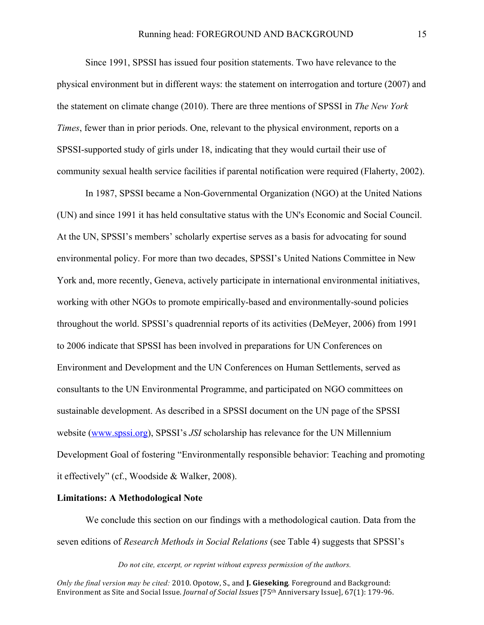Since 1991, SPSSI has issued four position statements. Two have relevance to the physical environment but in different ways: the statement on interrogation and torture (2007) and the statement on climate change (2010). There are three mentions of SPSSI in *The New York Times*, fewer than in prior periods. One, relevant to the physical environment, reports on a SPSSI-supported study of girls under 18, indicating that they would curtail their use of community sexual health service facilities if parental notification were required (Flaherty, 2002).

In 1987, SPSSI became a Non-Governmental Organization (NGO) at the United Nations (UN) and since 1991 it has held consultative status with the UN's Economic and Social Council. At the UN, SPSSI's members' scholarly expertise serves as a basis for advocating for sound environmental policy. For more than two decades, SPSSI's United Nations Committee in New York and, more recently, Geneva, actively participate in international environmental initiatives, working with other NGOs to promote empirically-based and environmentally-sound policies throughout the world. SPSSI's quadrennial reports of its activities (DeMeyer, 2006) from 1991 to 2006 indicate that SPSSI has been involved in preparations for UN Conferences on Environment and Development and the UN Conferences on Human Settlements, served as consultants to the UN Environmental Programme, and participated on NGO committees on sustainable development. As described in a SPSSI document on the UN page of the SPSSI website (www.spssi.org), SPSSI's *JSI* scholarship has relevance for the UN Millennium Development Goal of fostering "Environmentally responsible behavior: Teaching and promoting it effectively" (cf., Woodside & Walker, 2008).

#### **Limitations: A Methodological Note**

We conclude this section on our findings with a methodological caution. Data from the seven editions of *Research Methods in Social Relations* (see Table 4) suggests that SPSSI's

*Do not cite, excerpt, or reprint without express permission of the authors.*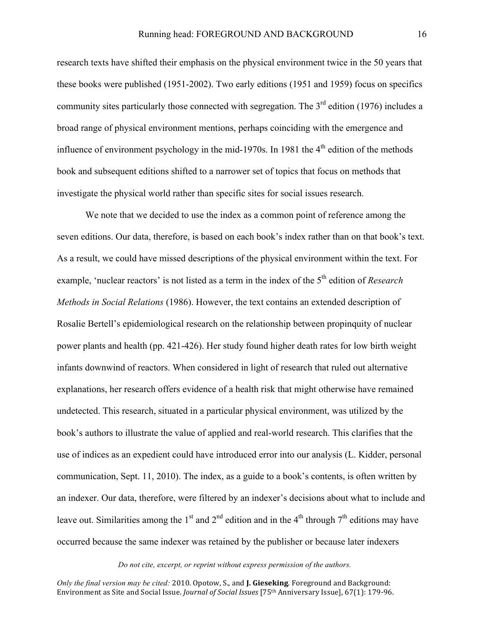research texts have shifted their emphasis on the physical environment twice in the 50 years that these books were published (1951-2002). Two early editions (1951 and 1959) focus on specifics community sites particularly those connected with segregation. The  $3<sup>rd</sup>$  edition (1976) includes a broad range of physical environment mentions, perhaps coinciding with the emergence and influence of environment psychology in the mid-1970s. In 1981 the  $4<sup>th</sup>$  edition of the methods book and subsequent editions shifted to a narrower set of topics that focus on methods that investigate the physical world rather than specific sites for social issues research.

We note that we decided to use the index as a common point of reference among the seven editions. Our data, therefore, is based on each book's index rather than on that book's text. As a result, we could have missed descriptions of the physical environment within the text. For example, 'nuclear reactors' is not listed as a term in the index of the 5<sup>th</sup> edition of *Research Methods in Social Relations* (1986). However, the text contains an extended description of Rosalie Bertell's epidemiological research on the relationship between propinquity of nuclear power plants and health (pp. 421-426). Her study found higher death rates for low birth weight infants downwind of reactors. When considered in light of research that ruled out alternative explanations, her research offers evidence of a health risk that might otherwise have remained undetected. This research, situated in a particular physical environment, was utilized by the book's authors to illustrate the value of applied and real-world research. This clarifies that the use of indices as an expedient could have introduced error into our analysis (L. Kidder, personal communication, Sept. 11, 2010). The index, as a guide to a book's contents, is often written by an indexer. Our data, therefore, were filtered by an indexer's decisions about what to include and leave out. Similarities among the 1<sup>st</sup> and 2<sup>nd</sup> edition and in the 4<sup>th</sup> through  $7<sup>th</sup>$  editions may have occurred because the same indexer was retained by the publisher or because later indexers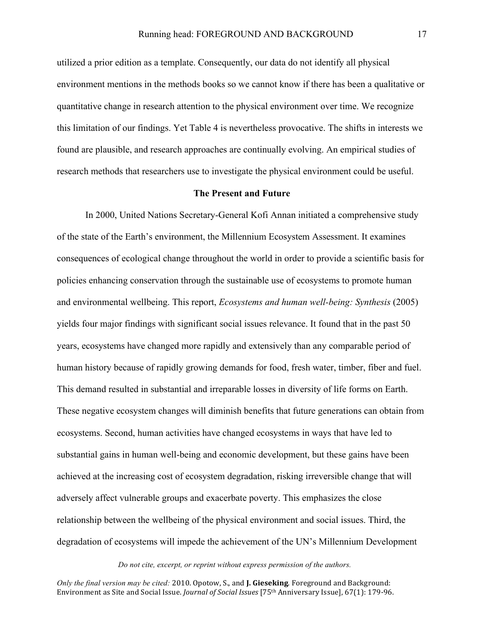utilized a prior edition as a template. Consequently, our data do not identify all physical environment mentions in the methods books so we cannot know if there has been a qualitative or quantitative change in research attention to the physical environment over time. We recognize this limitation of our findings. Yet Table 4 is nevertheless provocative. The shifts in interests we found are plausible, and research approaches are continually evolving. An empirical studies of research methods that researchers use to investigate the physical environment could be useful.

#### **The Present and Future**

In 2000, United Nations Secretary-General Kofi Annan initiated a comprehensive study of the state of the Earth's environment, the Millennium Ecosystem Assessment. It examines consequences of ecological change throughout the world in order to provide a scientific basis for policies enhancing conservation through the sustainable use of ecosystems to promote human and environmental wellbeing. This report, *Ecosystems and human well-being: Synthesis* (2005) yields four major findings with significant social issues relevance. It found that in the past 50 years, ecosystems have changed more rapidly and extensively than any comparable period of human history because of rapidly growing demands for food, fresh water, timber, fiber and fuel. This demand resulted in substantial and irreparable losses in diversity of life forms on Earth. These negative ecosystem changes will diminish benefits that future generations can obtain from ecosystems. Second, human activities have changed ecosystems in ways that have led to substantial gains in human well-being and economic development, but these gains have been achieved at the increasing cost of ecosystem degradation, risking irreversible change that will adversely affect vulnerable groups and exacerbate poverty. This emphasizes the close relationship between the wellbeing of the physical environment and social issues. Third, the degradation of ecosystems will impede the achievement of the UN's Millennium Development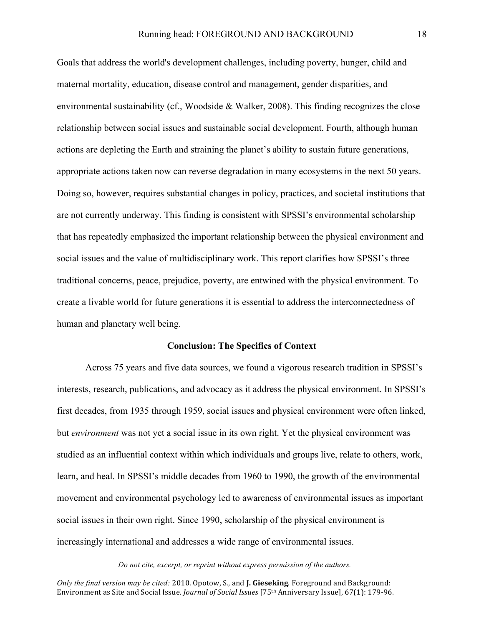Goals that address the world's development challenges, including poverty, hunger, child and maternal mortality, education, disease control and management, gender disparities, and environmental sustainability (cf., Woodside & Walker, 2008). This finding recognizes the close relationship between social issues and sustainable social development. Fourth, although human actions are depleting the Earth and straining the planet's ability to sustain future generations, appropriate actions taken now can reverse degradation in many ecosystems in the next 50 years. Doing so, however, requires substantial changes in policy, practices, and societal institutions that are not currently underway. This finding is consistent with SPSSI's environmental scholarship that has repeatedly emphasized the important relationship between the physical environment and social issues and the value of multidisciplinary work. This report clarifies how SPSSI's three traditional concerns, peace, prejudice, poverty, are entwined with the physical environment. To create a livable world for future generations it is essential to address the interconnectedness of human and planetary well being.

#### **Conclusion: The Specifics of Context**

Across 75 years and five data sources, we found a vigorous research tradition in SPSSI's interests, research, publications, and advocacy as it address the physical environment. In SPSSI's first decades, from 1935 through 1959, social issues and physical environment were often linked, but *environment* was not yet a social issue in its own right. Yet the physical environment was studied as an influential context within which individuals and groups live, relate to others, work, learn, and heal. In SPSSI's middle decades from 1960 to 1990, the growth of the environmental movement and environmental psychology led to awareness of environmental issues as important social issues in their own right. Since 1990, scholarship of the physical environment is increasingly international and addresses a wide range of environmental issues.

#### *Do not cite, excerpt, or reprint without express permission of the authors.*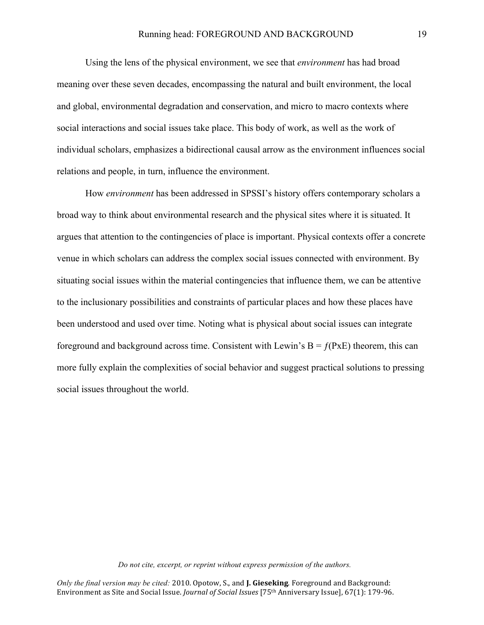Using the lens of the physical environment, we see that *environment* has had broad meaning over these seven decades, encompassing the natural and built environment, the local and global, environmental degradation and conservation, and micro to macro contexts where social interactions and social issues take place. This body of work, as well as the work of individual scholars, emphasizes a bidirectional causal arrow as the environment influences social relations and people, in turn, influence the environment.

How *environment* has been addressed in SPSSI's history offers contemporary scholars a broad way to think about environmental research and the physical sites where it is situated. It argues that attention to the contingencies of place is important. Physical contexts offer a concrete venue in which scholars can address the complex social issues connected with environment. By situating social issues within the material contingencies that influence them, we can be attentive to the inclusionary possibilities and constraints of particular places and how these places have been understood and used over time. Noting what is physical about social issues can integrate foreground and background across time. Consistent with Lewin's  $B = f(PxE)$  theorem, this can more fully explain the complexities of social behavior and suggest practical solutions to pressing social issues throughout the world.

#### *Do not cite, excerpt, or reprint without express permission of the authors.*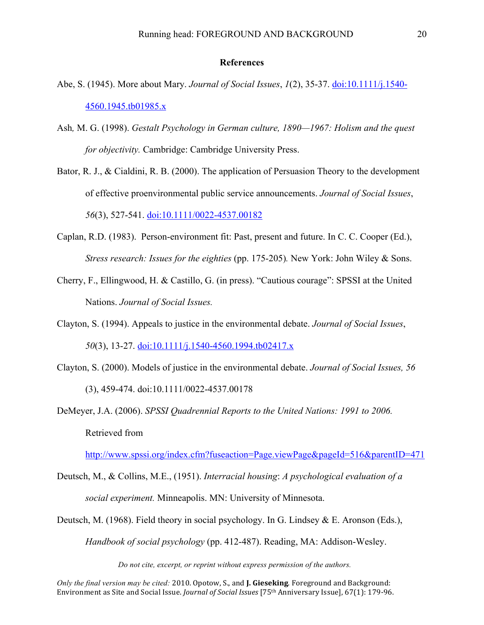## **References**

- Abe, S. (1945). More about Mary. *Journal of Social Issues*, *1*(2), 35-37. doi:10.1111/j.1540- 4560.1945.tb01985.x
- Ash*,* M. G. (1998). *Gestalt Psychology in German culture, 1890—1967: Holism and the quest for objectivity.* Cambridge: Cambridge University Press.
- Bator, R. J., & Cialdini, R. B. (2000). The application of Persuasion Theory to the development of effective proenvironmental public service announcements. *Journal of Social Issues*, *56*(3), 527-541. doi:10.1111/0022-4537.00182
- Caplan, R.D. (1983). Person-environment fit: Past, present and future. In C. C. Cooper (Ed.), *Stress research: Issues for the eighties* (pp. 175-205)*.* New York: John Wiley & Sons.
- Cherry, F., Ellingwood, H. & Castillo, G. (in press). "Cautious courage": SPSSI at the United Nations. *Journal of Social Issues.*
- Clayton, S. (1994). Appeals to justice in the environmental debate. *Journal of Social Issues*, *50*(3), 13-27. doi:10.1111/j.1540-4560.1994.tb02417.x
- Clayton, S. (2000). Models of justice in the environmental debate. *Journal of Social Issues, 56* (3), 459-474. doi:10.1111/0022-4537.00178
- DeMeyer, J.A. (2006). *SPSSI Quadrennial Reports to the United Nations: 1991 to 2006.* Retrieved from

http://www.spssi.org/index.cfm?fuseaction=Page.viewPage&pageId=516&parentID=471

- Deutsch, M., & Collins, M.E., (1951). *Interracial housing*: *A psychological evaluation of a social experiment.* Minneapolis. MN: University of Minnesota.
- Deutsch, M. (1968). Field theory in social psychology. In G. Lindsey & E. Aronson (Eds.),

*Handbook of social psychology* (pp. 412-487). Reading, MA: Addison-Wesley.

*Do not cite, excerpt, or reprint without express permission of the authors.*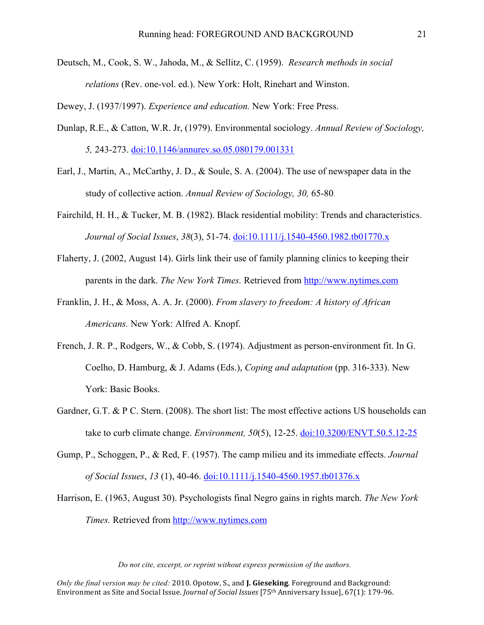Deutsch, M., Cook, S. W., Jahoda, M., & Sellitz, C. (1959). *Research methods in social relations* (Rev. one-vol. ed.). New York: Holt, Rinehart and Winston.

Dewey, J. (1937/1997). *Experience and education.* New York: Free Press.

- Dunlap, R.E., & Catton, W.R. Jr, (1979). Environmental sociology. *Annual Review of Sociology, 5,* 243-273. doi:10.1146/annurev.so.05.080179.001331
- Earl, J., Martin, A., McCarthy, J. D., & Soule, S. A. (2004). The use of newspaper data in the study of collective action. *Annual Review of Sociology, 30,* 65-80.
- Fairchild, H. H., & Tucker, M. B. (1982). Black residential mobility: Trends and characteristics. *Journal of Social Issues*, *38*(3), 51-74. doi:10.1111/j.1540-4560.1982.tb01770.x
- Flaherty, J. (2002, August 14). Girls link their use of family planning clinics to keeping their parents in the dark. *The New York Times.* Retrieved from http://www.nytimes.com
- Franklin, J. H., & Moss, A. A. Jr. (2000). *From slavery to freedom: A history of African Americans.* New York: Alfred A. Knopf.
- French, J. R. P., Rodgers, W., & Cobb, S. (1974). Adjustment as person-environment fit. In G. Coelho, D. Hamburg, & J. Adams (Eds.), *Coping and adaptation* (pp. 316-333). New York: Basic Books.
- Gardner, G.T. & P C. Stern. (2008). The short list: The most effective actions US households can take to curb climate change. *Environment, 50*(5), 12-25. doi:10.3200/ENVT.50.5.12-25
- Gump, P., Schoggen, P., & Red, F. (1957). The camp milieu and its immediate effects. *Journal of Social Issues*, *13* (1), 40-46. doi:10.1111/j.1540-4560.1957.tb01376.x
- Harrison, E. (1963, August 30). Psychologists final Negro gains in rights march. *The New York Times.* Retrieved from http://www.nytimes.com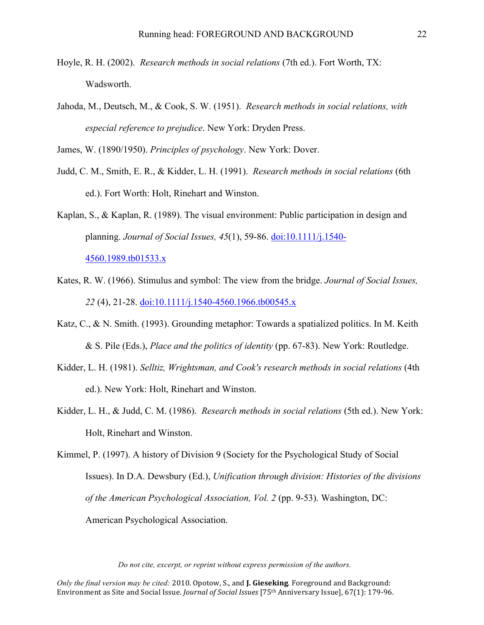- Hoyle, R. H. (2002). *Research methods in social relations* (7th ed.). Fort Worth, TX: Wadsworth.
- Jahoda, M., Deutsch, M., & Cook, S. W. (1951). *Research methods in social relations, with especial reference to prejudice*. New York: Dryden Press.

James, W. (1890/1950). *Principles of psychology*. New York: Dover.

- Judd, C. M., Smith, E. R., & Kidder, L. H. (1991). *Research methods in social relations* (6th ed.). Fort Worth: Holt, Rinehart and Winston.
- Kaplan, S., & Kaplan, R. (1989). The visual environment: Public participation in design and planning. *Journal of Social Issues, 45*(1), 59-86. doi:10.1111/j.1540-

4560.1989.tb01533.x

- Kates, R. W. (1966). Stimulus and symbol: The view from the bridge. *Journal of Social Issues, 22* (4), 21-28. doi:10.1111/j.1540-4560.1966.tb00545.x
- Katz, C., & N. Smith. (1993). Grounding metaphor: Towards a spatialized politics. In M. Keith & S. Pile (Eds.), *Place and the politics of identity* (pp. 67-83). New York: Routledge.
- Kidder, L. H. (1981). *Selltiz, Wrightsman, and Cook's research methods in social relations* (4th ed.). New York: Holt, Rinehart and Winston.
- Kidder, L. H., & Judd, C. M. (1986). *Research methods in social relations* (5th ed.). New York: Holt, Rinehart and Winston.

Kimmel, P. (1997). A history of Division 9 (Society for the Psychological Study of Social Issues). In D.A. Dewsbury (Ed.), *Unification through division: Histories of the divisions of the American Psychological Association, Vol. 2 (pp. 9-53).* Washington, DC: American Psychological Association.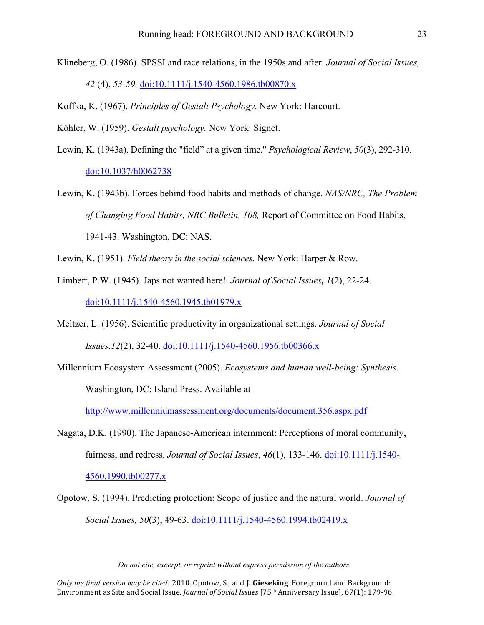Klineberg, O. (1986). SPSSI and race relations, in the 1950s and after. *Journal of Social Issues, 42* (4), *53-59.* doi:10.1111/j.1540-4560.1986.tb00870.x

Koffka, K. (1967). *Principles of Gestalt Psychology*. New York: Harcourt.

Köhler, W. (1959). *Gestalt psychology.* New York: Signet.

- Lewin, K. (1943a). Defining the "field" at a given time." *Psychological Review*, *50*(3), 292-310. doi:10.1037/h0062738
- Lewin, K. (1943b). Forces behind food habits and methods of change. *NAS/NRC, The Problem of Changing Food Habits, NRC Bulletin, 108,* Report of Committee on Food Habits, 1941-43. Washington, DC: NAS.

Lewin, K. (1951). *Field theory in the social sciences.* New York: Harper & Row.

- Limbert, P.W. (1945). Japs not wanted here! *Journal of Social Issues, 1*(2), 22-24. doi:10.1111/j.1540-4560.1945.tb01979.x
- Meltzer, L. (1956). Scientific productivity in organizational settings. *Journal of Social Issues,12*(2), 32-40. doi:10.1111/j.1540-4560.1956.tb00366.x
- Millennium Ecosystem Assessment (2005). *Ecosystems and human well-being: Synthesis*. Washington, DC: Island Press. Available at

http://www.millenniumassessment.org/documents/document.356.aspx.pdf

Nagata, D.K. (1990). The Japanese-American internment: Perceptions of moral community, fairness, and redress. *Journal of Social Issues*, *46*(1), 133-146. doi:10.1111/j.1540-

4560.1990.tb00277.x

Opotow, S. (1994). Predicting protection: Scope of justice and the natural world. *Journal of Social Issues, 50*(3), 49-63. doi:10.1111/j.1540-4560.1994.tb02419.x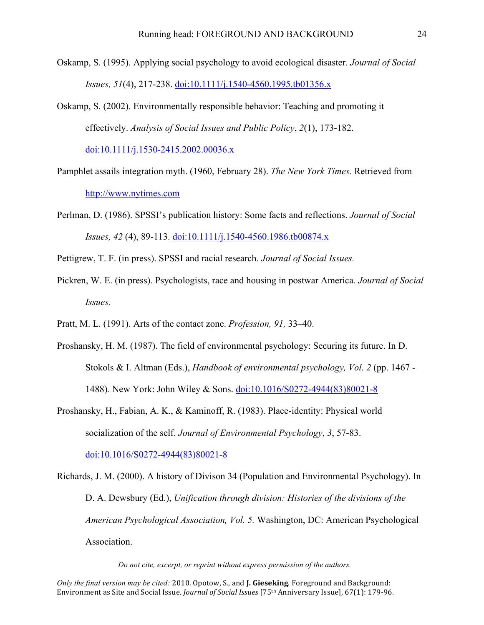- Oskamp, S. (1995). Applying social psychology to avoid ecological disaster. *Journal of Social Issues, 51*(4), 217-238. doi:10.1111/j.1540-4560.1995.tb01356.x
- Oskamp, S. (2002). Environmentally responsible behavior: Teaching and promoting it effectively. *Analysis of Social Issues and Public Policy*, *2*(1), 173-182.

doi:10.1111/j.1530-2415.2002.00036.x

- Pamphlet assails integration myth. (1960, February 28). *The New York Times.* Retrieved from http://www.nytimes.com
- Perlman, D. (1986). SPSSI's publication history: Some facts and reflections. *Journal of Social Issues, 42* (4), 89-113. doi:10.1111/j.1540-4560.1986.tb00874.x
- Pettigrew, T. F. (in press). SPSSI and racial research. *Journal of Social Issues.*
- Pickren, W. E. (in press). Psychologists, race and housing in postwar America. *Journal of Social Issues.*
- Pratt, M. L. (1991). Arts of the contact zone. *Profession, 91,* 33–40.
- Proshansky, H. M. (1987). The field of environmental psychology: Securing its future. In D. Stokols & I. Altman (Eds.), *Handbook of environmental psychology, Vol. 2* (pp. 1467 - 1488)*.* New York: John Wiley & Sons. doi:10.1016/S0272-4944(83)80021-8
- Proshansky, H., Fabian, A. K., & Kaminoff, R. (1983). Place-identity: Physical world socialization of the self. *Journal of Environmental Psychology*, *3*, 57-83.

doi:10.1016/S0272-4944(83)80021-8

Richards, J. M. (2000). A history of Divison 34 (Population and Environmental Psychology). In D. A. Dewsbury (Ed.), *Unification through division: Histories of the divisions of the American Psychological Association, Vol. 5.* Washington, DC: American Psychological Association.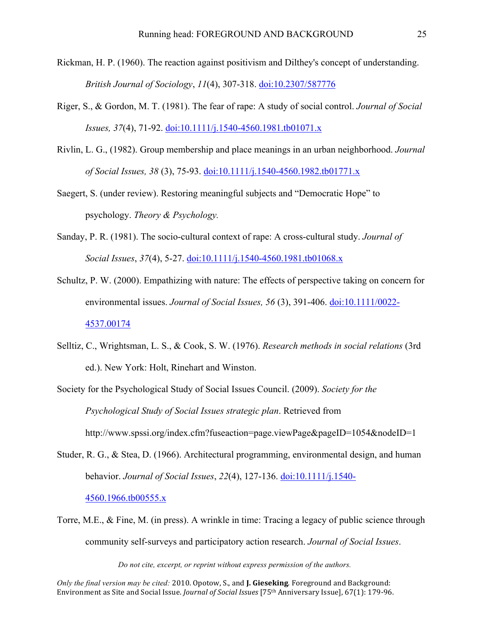- Rickman, H. P. (1960). The reaction against positivism and Dilthey's concept of understanding. *British Journal of Sociology*, *11*(4), 307-318. doi:10.2307/587776
- Riger, S., & Gordon, M. T. (1981). The fear of rape: A study of social control. *Journal of Social Issues, 37*(4), 71-92. doi:10.1111/j.1540-4560.1981.tb01071.x
- Rivlin, L. G., (1982). Group membership and place meanings in an urban neighborhood. *Journal of Social Issues, 38* (3), 75-93. doi:10.1111/j.1540-4560.1982.tb01771.x
- Saegert, S. (under review). Restoring meaningful subjects and "Democratic Hope" to psychology. *Theory & Psychology.*
- Sanday, P. R. (1981). The socio-cultural context of rape: A cross-cultural study. *Journal of Social Issues*, *37*(4), 5-27. doi:10.1111/j.1540-4560.1981.tb01068.x
- Schultz, P. W. (2000). Empathizing with nature: The effects of perspective taking on concern for environmental issues. *Journal of Social Issues, 56* (3), 391-406. doi:10.1111/0022- 4537.00174
- Selltiz, C., Wrightsman, L. S., & Cook, S. W. (1976). *Research methods in social relations* (3rd ed.). New York: Holt, Rinehart and Winston.
- Society for the Psychological Study of Social Issues Council. (2009). *Society for the Psychological Study of Social Issues strategic plan*. Retrieved from http://www.spssi.org/index.cfm?fuseaction=page.viewPage&pageID=1054&nodeID=1
- Studer, R. G., & Stea, D. (1966). Architectural programming, environmental design, and human behavior. *Journal of Social Issues*, *22*(4), 127-136. doi:10.1111/j.1540- 4560.1966.tb00555.x
- Torre, M.E., & Fine, M. (in press). A wrinkle in time: Tracing a legacy of public science through community self-surveys and participatory action research. *Journal of Social Issues*.

*Do not cite, excerpt, or reprint without express permission of the authors.*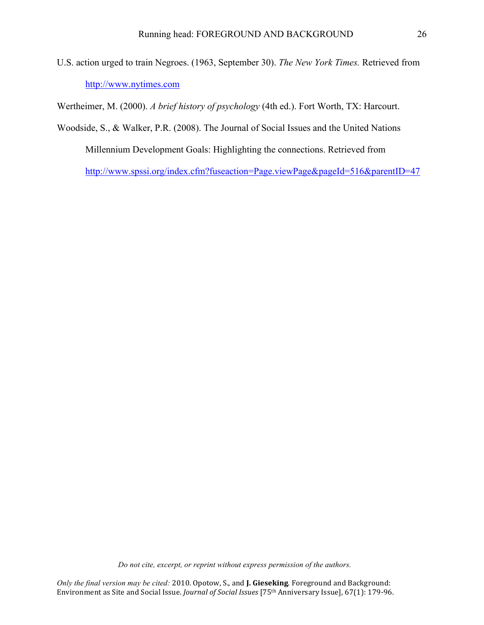U.S. action urged to train Negroes. (1963, September 30). *The New York Times.* Retrieved from http://www.nytimes.com

Wertheimer, M. (2000). *A brief history of psychology* (4th ed.). Fort Worth, TX: Harcourt.

Woodside, S., & Walker, P.R. (2008). The Journal of Social Issues and the United Nations Millennium Development Goals: Highlighting the connections. Retrieved from http://www.spssi.org/index.cfm?fuseaction=Page.viewPage&pageId=516&parentID=47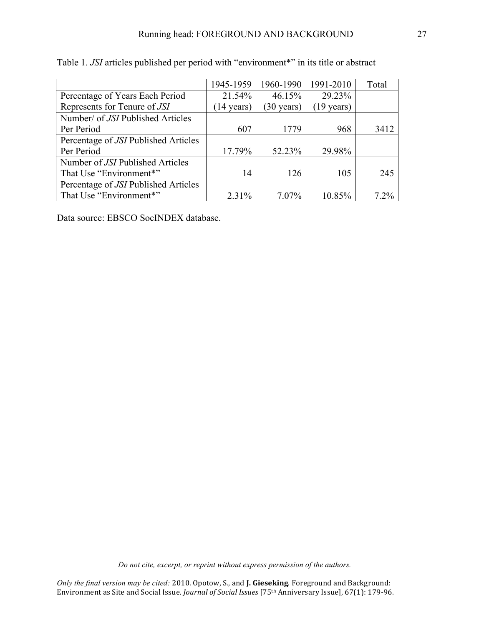|                                      | 1945-1959            | 1960-1990            | 1991-2010 | Total |
|--------------------------------------|----------------------|----------------------|-----------|-------|
| Percentage of Years Each Period      | 21.54%               | 46.15%               | 29.23%    |       |
| Represents for Tenure of JSI         | $(14 \text{ years})$ | $(30 \text{ years})$ | 19 years) |       |
| Number/ of JSI Published Articles    |                      |                      |           |       |
| Per Period                           | 607                  | 1779                 | 968       | 3412  |
| Percentage of JSI Published Articles |                      |                      |           |       |
| Per Period                           | 17.79%               | 52.23%               | 29.98%    |       |
| Number of JSI Published Articles     |                      |                      |           |       |
| That Use "Environment"               | 14                   | 126                  | 105       | 245   |
| Percentage of JSI Published Articles |                      |                      |           |       |
| That Use "Environment*"              | 2.31%                | $7.07\%$             | 10.85%    | 7.2%  |

Table 1. *JSI* articles published per period with "environment\*" in its title or abstract

Data source: EBSCO SocINDEX database.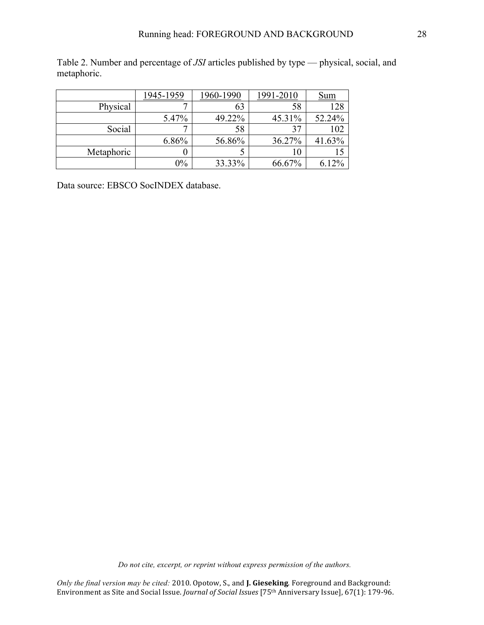Table 2. Number and percentage of *JSI* articles published by type — physical, social, and metaphoric.

|            | 1945-1959 | 1960-1990 | 1991-2010 | <u>Sum</u> |
|------------|-----------|-----------|-----------|------------|
| Physical   |           | 63        | 58        | 128        |
|            | 5.47%     | 49.22%    | 45.31%    | 52.24%     |
| Social     |           | 58        |           | 102        |
|            | 6.86%     | 56.86%    | 36.27%    | 41.63%     |
| Metaphoric |           |           | 10        |            |
|            | $0\%$     | 33.33%    | 66.67%    | 6.12%      |

Data source: EBSCO SocINDEX database.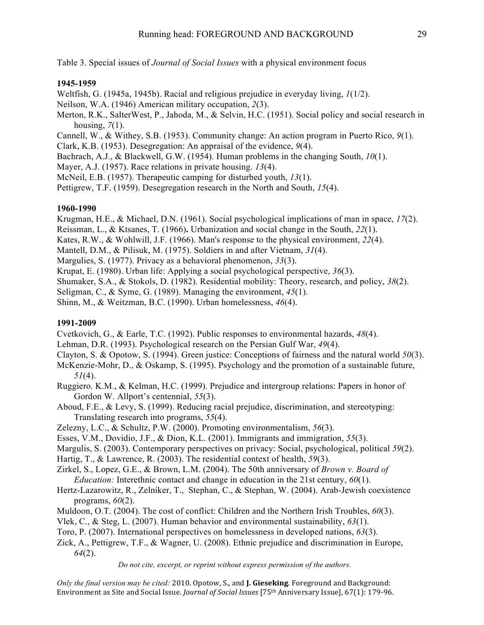Table 3. Special issues of *Journal of Social Issues* with a physical environment focus

# **1945-1959**

Weltfish, G. (1945a, 1945b). Racial and religious prejudice in everyday living, *1*(1/2).

Neilson, W.A. (1946) American military occupation, *2*(3).

Merton, R.K., SalterWest, P., Jahoda, M., & Selvin, H.C. (1951). Social policy and social research in housing, *7*(1).

Cannell, W., & Withey, S.B. (1953). Community change: An action program in Puerto Rico, *9*(1).

Clark, K.B. (1953). Desegregation: An appraisal of the evidence, *9*(4).

Bachrach, A.J., & Blackwell, G.W. (1954). Human problems in the changing South, *10*(1).

Mayer, A.J. (1957). Race relations in private housing. *13*(4).

McNeil, E.B. (1957). Therapeutic camping for disturbed youth, *13*(1).

Pettigrew, T.F. (1959). Desegregation research in the North and South, *15*(4).

# **1960-1990**

Krugman, H.E., & Michael, D.N. (1961). Social psychological implications of man in space, *17*(2).

Reissman, L., & Ktsanes, T. (1966)**.** Urbanization and social change in the South, *22*(1).

Kates, R.W., & Wohlwill, J.F. (1966). Man's response to the physical environment, *22*(4).

Mantell, D.M., & Pilisuk, M. (1975). Soldiers in and after Vietnam, *31*(4).

Margulies, S. (1977). Privacy as a behavioral phenomenon, *33*(3).

Krupat, E. (1980). Urban life: Applying a social psychological perspective, *36*(3).

Shumaker, S.A., & Stokols, D. (1982). Residential mobility: Theory, research, and policy, *38*(2).

Seligman, C., & Syme, G. (1989). Managing the environment, *45*(1).

Shinn, M., & Weitzman, B.C. (1990). Urban homelessness, *46*(4).

# **1991-2009**

Cvetkovich, G., & Earle, T.C. (1992). Public responses to environmental hazards, *48*(4).

- Lehman, D.R. (1993). Psychological research on the Persian Gulf War, *49*(4).
- Clayton, S. & Opotow, S. (1994). Green justice: Conceptions of fairness and the natural world *50*(3).
- McKenzie-Mohr, D., & Oskamp, S. (1995). Psychology and the promotion of a sustainable future, *51*(4).
- Ruggiero. K.M., & Kelman, H.C. (1999). Prejudice and intergroup relations: Papers in honor of Gordon W. Allport's centennial, *55*(3).
- Aboud, F.E., & Levy, S. (1999). Reducing racial prejudice, discrimination, and stereotyping: Translating research into programs, *55*(4).
- Zelezny, L.C., & Schultz, P.W. (2000). Promoting environmentalism, *56*(3).

Esses, V.M., Dovidio, J.F., & Dion, K.L. (2001). Immigrants and immigration, *55*(3).

Margulis, S. (2003). Contemporary perspectives on privacy: Social, psychological, political *59*(2).

Hartig, T., & Lawrence, R. (2003). The residential context of health, *59*(3).

Zirkel, S., Lopez, G.E., & Brown, L.M. (2004). The 50th anniversary of *Brown v. Board of Education:* Interethnic contact and change in education in the 21st century, *60*(1).

Hertz-Lazarowitz, R., Zelniker, T., Stephan, C., & Stephan, W. (2004). Arab-Jewish coexistence programs, *60*(2).

Muldoon, O.T. (2004). The cost of conflict: Children and the Northern Irish Troubles, *60*(3).

Vlek, C., & Steg, L. (2007). Human behavior and environmental sustainability, *63*(1).

Toro, P. (2007). International perspectives on homelessness in developed nations, *63*(3).

Zick, A., Pettigrew, T.F., & Wagner, U. (2008). Ethnic prejudice and discrimination in Europe, *64*(2).

*Do not cite, excerpt, or reprint without express permission of the authors.*